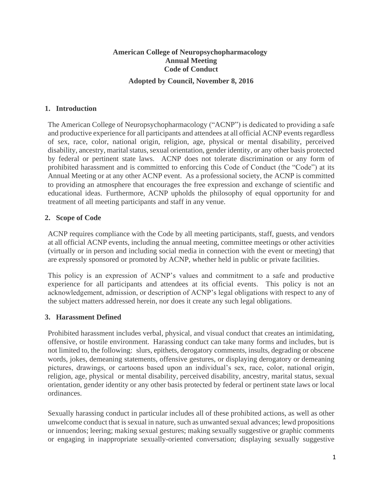# **American College of Neuropsychopharmacology Annual Meeting Code of Conduct**

**Adopted by Council, November 8, 2016**

### **1. Introduction**

The American College of Neuropsychopharmacology ("ACNP") is dedicated to providing a safe and productive experience for all participants and attendees at all official ACNP events regardless of sex, race, color, national origin, religion, age, physical or mental disability, perceived disability, ancestry, marital status, sexual orientation, gender identity, or any other basis protected by federal or pertinent state laws. ACNP does not tolerate discrimination or any form of prohibited harassment and is committed to enforcing this Code of Conduct (the "Code") at its Annual Meeting or at any other ACNP event. As a professional society, the ACNP is committed to providing an atmosphere that encourages the free expression and exchange of scientific and educational ideas. Furthermore, ACNP upholds the philosophy of equal opportunity for and treatment of all meeting participants and staff in any venue.

### **2. Scope of Code**

ACNP requires compliance with the Code by all meeting participants, staff, guests, and vendors at all official ACNP events, including the annual meeting, committee meetings or other activities (virtually or in person and including social media in connection with the event or meeting) that are expressly sponsored or promoted by ACNP, whether held in public or private facilities.

This policy is an expression of ACNP's values and commitment to a safe and productive experience for all participants and attendees at its official events. This policy is not an acknowledgement, admission, or description of ACNP's legal obligations with respect to any of the subject matters addressed herein, nor does it create any such legal obligations.

### **3. Harassment Defined**

Prohibited harassment includes verbal, physical, and visual conduct that creates an intimidating, offensive, or hostile environment. Harassing conduct can take many forms and includes, but is not limited to, the following: slurs, epithets, derogatory comments, insults, degrading or obscene words, jokes, demeaning statements, offensive gestures, or displaying derogatory or demeaning pictures, drawings, or cartoons based upon an individual's sex, race, color, national origin, religion, age, physical or mental disability, perceived disability, ancestry, marital status, sexual orientation, gender identity or any other basis protected by federal or pertinent state laws or local ordinances.

Sexually harassing conduct in particular includes all of these prohibited actions, as well as other unwelcome conduct that is sexual in nature, such as unwanted sexual advances; lewd propositions or innuendos; leering; making sexual gestures; making sexually suggestive or graphic comments or engaging in inappropriate sexually-oriented conversation; displaying sexually suggestive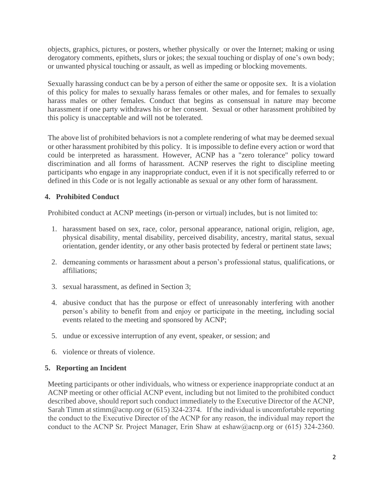objects, graphics, pictures, or posters, whether physically or over the Internet; making or using derogatory comments, epithets, slurs or jokes; the sexual touching or display of one's own body; or unwanted physical touching or assault, as well as impeding or blocking movements.

Sexually harassing conduct can be by a person of either the same or opposite sex. It is a violation of this policy for males to sexually harass females or other males, and for females to sexually harass males or other females. Conduct that begins as consensual in nature may become harassment if one party withdraws his or her consent. Sexual or other harassment prohibited by this policy is unacceptable and will not be tolerated.

The above list of prohibited behaviors is not a complete rendering of what may be deemed sexual or other harassment prohibited by this policy. It is impossible to define every action or word that could be interpreted as harassment. However, ACNP has a "zero tolerance" policy toward discrimination and all forms of harassment. ACNP reserves the right to discipline meeting participants who engage in any inappropriate conduct, even if it is not specifically referred to or defined in this Code or is not legally actionable as sexual or any other form of harassment.

# **4. Prohibited Conduct**

Prohibited conduct at ACNP meetings (in-person or virtual) includes, but is not limited to:

- 1. harassment based on sex, race, color, personal appearance, national origin, religion, age, physical disability, mental disability, perceived disability, ancestry, marital status, sexual orientation, gender identity, or any other basis protected by federal or pertinent state laws;
- 2. demeaning comments or harassment about a person's professional status, qualifications, or affiliations;
- 3. sexual harassment, as defined in Section 3;
- 4. abusive conduct that has the purpose or effect of unreasonably interfering with another person's ability to benefit from and enjoy or participate in the meeting, including social events related to the meeting and sponsored by ACNP;
- 5. undue or excessive interruption of any event, speaker, or session; and
- 6. violence or threats of violence.

# **5. Reporting an Incident**

Meeting participants or other individuals, who witness or experience inappropriate conduct at an ACNP meeting or other official ACNP event, including but not limited to the prohibited conduct described above, should report such conduct immediately to the Executive Director of the ACNP, Sarah Timm at stimm@acnp.org or (615) 324-2374. If the individual is uncomfortable reporting the conduct to the Executive Director of the ACNP for any reason, the individual may report the conduct to the ACNP Sr. Project Manager, Erin Shaw at eshaw@acnp.org or  $(615)$  324-2360.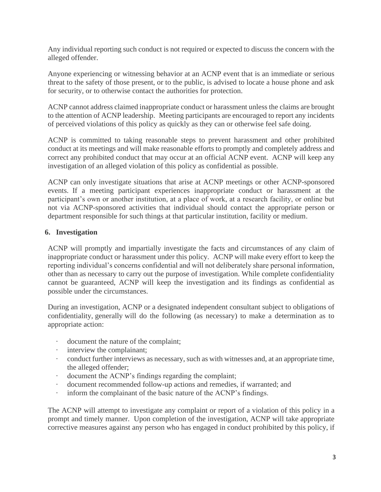Any individual reporting such conduct is not required or expected to discuss the concern with the alleged offender.

Anyone experiencing or witnessing behavior at an ACNP event that is an immediate or serious threat to the safety of those present, or to the public, is advised to locate a house phone and ask for security, or to otherwise contact the authorities for protection.

ACNP cannot address claimed inappropriate conduct or harassment unless the claims are brought to the attention of ACNP leadership. Meeting participants are encouraged to report any incidents of perceived violations of this policy as quickly as they can or otherwise feel safe doing.

ACNP is committed to taking reasonable steps to prevent harassment and other prohibited conduct at its meetings and will make reasonable efforts to promptly and completely address and correct any prohibited conduct that may occur at an official ACNP event. ACNP will keep any investigation of an alleged violation of this policy as confidential as possible.

ACNP can only investigate situations that arise at ACNP meetings or other ACNP-sponsored events. If a meeting participant experiences inappropriate conduct or harassment at the participant's own or another institution, at a place of work, at a research facility, or online but not via ACNP-sponsored activities that individual should contact the appropriate person or department responsible for such things at that particular institution, facility or medium.

### **6. Investigation**

ACNP will promptly and impartially investigate the facts and circumstances of any claim of inappropriate conduct or harassment under this policy. ACNP will make every effort to keep the reporting individual's concerns confidential and will not deliberately share personal information, other than as necessary to carry out the purpose of investigation. While complete confidentiality cannot be guaranteed, ACNP will keep the investigation and its findings as confidential as possible under the circumstances.

During an investigation, ACNP or a designated independent consultant subject to obligations of confidentiality, generally will do the following (as necessary) to make a determination as to appropriate action:

- document the nature of the complaint;
- interview the complainant;
- · conduct further interviews as necessary, such as with witnesses and, at an appropriate time, the alleged offender;
- document the ACNP's findings regarding the complaint;
- · document recommended follow-up actions and remedies, if warranted; and
- · inform the complainant of the basic nature of the ACNP's findings.

The ACNP will attempt to investigate any complaint or report of a violation of this policy in a prompt and timely manner. Upon completion of the investigation, ACNP will take appropriate corrective measures against any person who has engaged in conduct prohibited by this policy, if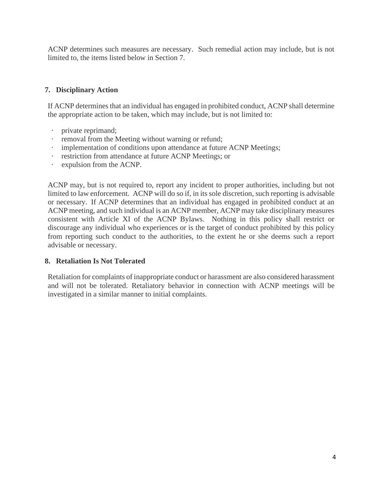ACNP determines such measures are necessary. Such remedial action may include, but is not limited to, the items listed below in Section 7.

### **7. Disciplinary Action**

If ACNP determines that an individual has engaged in prohibited conduct, ACNP shall determine the appropriate action to be taken, which may include, but is not limited to:

- private reprimand;
- removal from the Meeting without warning or refund;
- implementation of conditions upon attendance at future ACNP Meetings;
- restriction from attendance at future ACNP Meetings; or
- · expulsion from the ACNP.

ACNP may, but is not required to, report any incident to proper authorities, including but not limited to law enforcement. ACNP will do so if, in its sole discretion, such reporting is advisable or necessary. If ACNP determines that an individual has engaged in prohibited conduct at an ACNP meeting, and such individual is an ACNP member, ACNP may take disciplinary measures consistent with Article XI of the ACNP Bylaws. Nothing in this policy shall restrict or discourage any individual who experiences or is the target of conduct prohibited by this policy from reporting such conduct to the authorities, to the extent he or she deems such a report advisable or necessary.

### **8. Retaliation Is Not Tolerated**

Retaliation for complaints of inappropriate conduct or harassment are also considered harassment and will not be tolerated. Retaliatory behavior in connection with ACNP meetings will be investigated in a similar manner to initial complaints.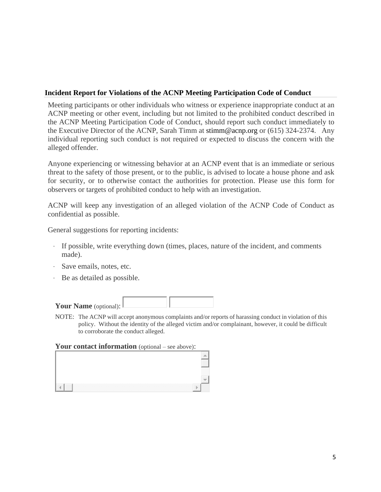### **Incident Report for Violations of the ACNP Meeting Participation Code of Conduct**

Meeting participants or other individuals who witness or experience inappropriate conduct at an ACNP meeting or other event, including but not limited to the prohibited conduct described in the ACNP Meeting Participation Code of Conduct, should report such conduct immediately to the Executive Director of the ACNP, Sarah Timm at stimm@acnp.org or (615) 324-2374. Any individual reporting such conduct is not required or expected to discuss the concern with the alleged offender.

Anyone experiencing or witnessing behavior at an ACNP event that is an immediate or serious threat to the safety of those present, or to the public, is advised to locate a house phone and ask for security, or to otherwise contact the authorities for protection. Please use this form for observers or targets of prohibited conduct to help with an investigation.

ACNP will keep any investigation of an alleged violation of the ACNP Code of Conduct as confidential as possible.

General suggestions for reporting incidents:

- · If possible, write everything down (times, places, nature of the incident, and comments made).
- · Save emails, notes, etc.
- · Be as detailed as possible.

| Your Name (optional): $\mathsf{\mathsf{L}}$ |  |
|---------------------------------------------|--|

NOTE: The ACNP will accept anonymous complaints and/or reports of harassing conduct in violation of this policy. Without the identity of the alleged victim and/or complainant, however, it could be difficult to corroborate the conduct alleged.

### **Your contact information** (optional – see above):

|  |                                      | <b>Robert Common</b><br>.<br>. |
|--|--------------------------------------|--------------------------------|
|  |                                      |                                |
|  | ___<br>-----<br>.<br>,,,,,<br>ы<br>. |                                |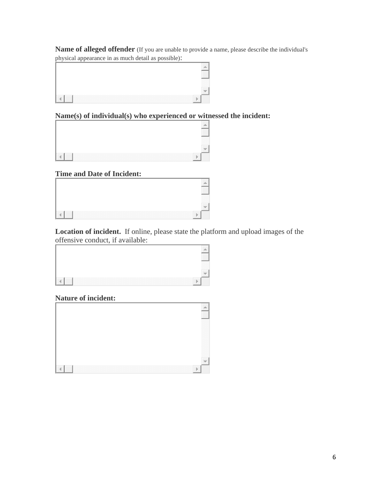**Name of alleged offender** (If you are unable to provide a name, please describe the individual's physical appearance in as much detail as possible):



# **Name(s) of individual(s) who experienced or witnessed the incident:**

| n<br>,,,,,,         |
|---------------------|
|                     |
| ,,,,,,,,,,,,,,,,,,, |

# **Time and Date of Incident:**

| . |  |
|---|--|

**Location of incident.** If online, please state the platform and upload images of the offensive conduct, if available:

# **Nature of incident:**